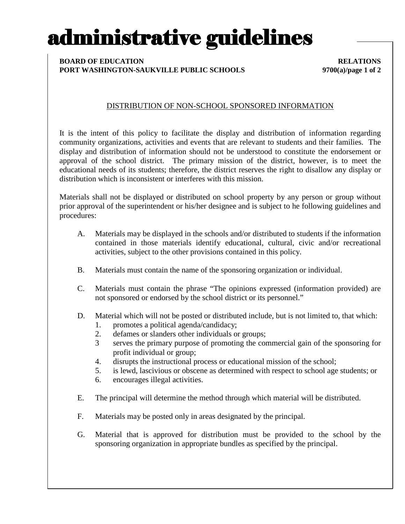# administrative guidelines

#### **BOARD OF EDUCATION RELATIONS PORT WASHINGTON-SAUKVILLE PUBLIC SCHOOLS 9700(a)/page 1 of 2**

## DISTRIBUTION OF NON-SCHOOL SPONSORED INFORMATION

It is the intent of this policy to facilitate the display and distribution of information regarding community organizations, activities and events that are relevant to students and their families. The display and distribution of information should not be understood to constitute the endorsement or approval of the school district. The primary mission of the district, however, is to meet the educational needs of its students; therefore, the district reserves the right to disallow any display or distribution which is inconsistent or interferes with this mission.

Materials shall not be displayed or distributed on school property by any person or group without prior approval of the superintendent or his/her designee and is subject to he following guidelines and procedures:

- A. Materials may be displayed in the schools and/or distributed to students if the information contained in those materials identify educational, cultural, civic and/or recreational activities, subject to the other provisions contained in this policy.
- B. Materials must contain the name of the sponsoring organization or individual.
- C. Materials must contain the phrase "The opinions expressed (information provided) are not sponsored or endorsed by the school district or its personnel."
- D. Material which will not be posted or distributed include, but is not limited to, that which: 1. promotes a political agenda/candidacy;
	- 2. defames or slanders other individuals or groups;
	- 3 serves the primary purpose of promoting the commercial gain of the sponsoring for profit individual or group;
	- 4. disrupts the instructional process or educational mission of the school;
	- 5. is lewd, lascivious or obscene as determined with respect to school age students; or
	- 6. encourages illegal activities.
- E. The principal will determine the method through which material will be distributed.
- F. Materials may be posted only in areas designated by the principal.
- G. Material that is approved for distribution must be provided to the school by the sponsoring organization in appropriate bundles as specified by the principal.